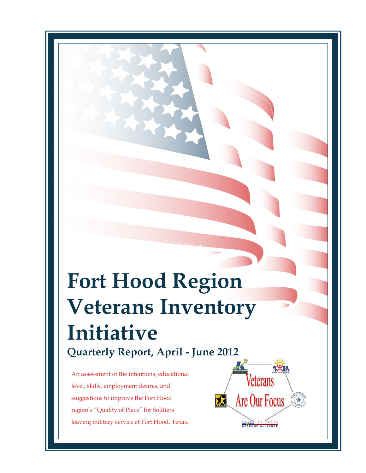# **Fort Hood Region Veterans Inventory Initiative Quarterly Report, April - June 2012**

An assessment of the intentions, educational level, skills, employment desires, and suggestions to improve the Fort Hood region's "Quality of Place" for Soldiers leaving military service at Fort Hood, Texas.

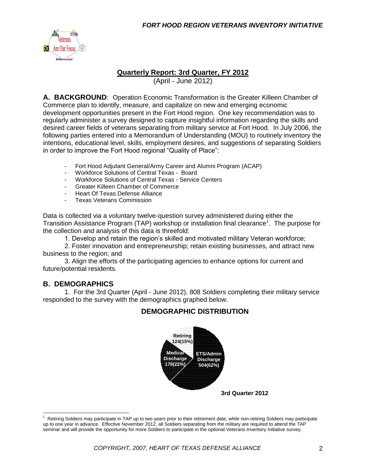

#### **Quarterly Report: 3rd Quarter, FY 2012**

(April - June 2012)

**A. BACKGROUND**: Operation Economic Transformation is the Greater Killeen Chamber of Commerce plan to identify, measure, and capitalize on new and emerging economic development opportunities present in the Fort Hood region. One key recommendation was to regularly administer a survey designed to capture insightful information regarding the skills and desired career fields of veterans separating from military service at Fort Hood. In July 2006, the following parties entered into a Memorandum of Understanding (MOU) to routinely inventory the intentions, educational level, skills, employment desires, and suggestions of separating Soldiers in order to improve the Fort Hood regional "Quality of Place":

- Fort Hood Adjutant General/Army Career and Alumni Program (ACAP)
- Workforce Solutions of Central Texas Board<br>- Workforce Solutions of Central Texas Service
- Workforce Solutions of Central Texas Service Centers
- Greater Killeen Chamber of Commerce
- Heart Of Texas Defense Alliance
- Texas Veterans Commission

Data is collected via a voluntary twelve-question survey administered during either the Transition Assistance Program (TAP) workshop or installation final clearance<sup>1</sup>. The purpose for the collection and analysis of this data is threefold:

1. Develop and retain the region's skilled and motivated military Veteran workforce;

2. Foster innovation and entrepreneurship; retain existing businesses, and attract new business to the region; and

3. Align the efforts of the participating agencies to enhance options for current and future/potential residents.

#### **B. DEMOGRAPHICS**

 $\overline{a}$ 

1. For the 3rd Quarter (April - June 2012), 808 Soldiers completing their military service responded to the survey with the demographics graphed below.

#### **DEMOGRAPHIC DISTRIBUTION**



<sup>1</sup> Retiring Soldiers may participate in TAP up to two years prior to their retirement date, while non-retiring Soldiers may participate up to one year in advance. Effective November 2012, all Soldiers separating from the military are required to attend the TAP seminar and will provide the opportunity for more Soldiers to participate in the optional Veterans Inventory Initiative survey.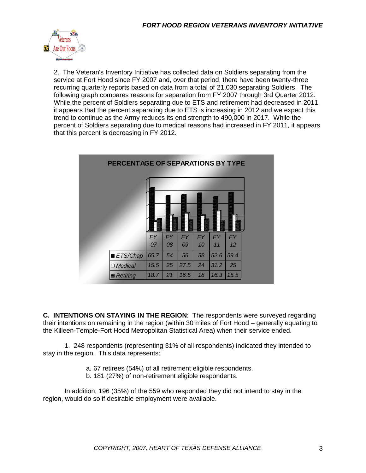

2. The Veteran's Inventory Initiative has collected data on Soldiers separating from the service at Fort Hood since FY 2007 and, over that period, there have been twenty-three recurring quarterly reports based on data from a total of 21,030 separating Soldiers. The following graph compares reasons for separation from FY 2007 through 3rd Quarter 2012. While the percent of Soldiers separating due to ETS and retirement had decreased in 2011, it appears that the percent separating due to ETS is increasing in 2012 and we expect this trend to continue as the Army reduces its end strength to 490,000 in 2017. While the percent of Soldiers separating due to medical reasons had increased in FY 2011, it appears that this percent is decreasing in FY 2012.

| PERCENTAGE OF SEPARATIONS BY TYPE |                 |                 |                 |                 |                 |                 |  |
|-----------------------------------|-----------------|-----------------|-----------------|-----------------|-----------------|-----------------|--|
|                                   |                 |                 |                 |                 |                 |                 |  |
|                                   | <b>FY</b><br>07 | <b>FY</b><br>08 | <b>FY</b><br>09 | <b>FY</b><br>10 | <b>FY</b><br>11 | <b>FY</b><br>12 |  |
| ■ ETS/Chap                        | 65.7            | 54              | 56              | 58              | 52.6            | 59.4            |  |
| $\Box$ Medical                    | 15.5            | 25              | 27.5            | 24              | 31.2            | 25              |  |
| Retiring                          | 18.7            | 21              | 16.5            | 18              | 16.3            | 15.5            |  |

**C. INTENTIONS ON STAYING IN THE REGION**: The respondents were surveyed regarding their intentions on remaining in the region (within 30 miles of Fort Hood – generally equating to the Killeen-Temple-Fort Hood Metropolitan Statistical Area) when their service ended.

1. 248 respondents (representing 31% of all respondents) indicated they intended to stay in the region. This data represents:

- a. 67 retirees (54%) of all retirement eligible respondents.
- b. 181 (27%) of non-retirement eligible respondents.

In addition, 196 (35%) of the 559 who responded they did not intend to stay in the region, would do so if desirable employment were available.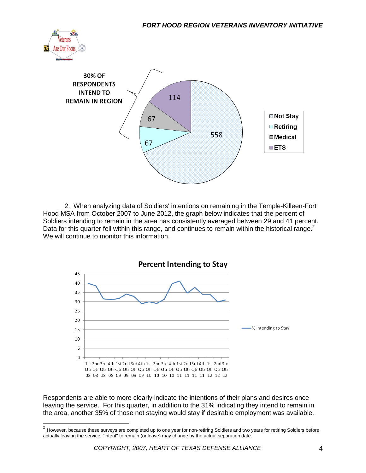



2. When analyzing data of Soldiers' intentions on remaining in the Temple-Killeen-Fort Hood MSA from October 2007 to June 2012, the graph below indicates that the percent of Soldiers intending to remain in the area has consistently averaged between 29 and 41 percent. Data for this quarter fell within this range, and continues to remain within the historical range. $2$ We will continue to monitor this information.



Respondents are able to more clearly indicate the intentions of their plans and desires once leaving the service. For this quarter, in addition to the 31% indicating they intend to remain in the area, another 35% of those not staying would stay if desirable employment was available.

 2 However, because these surveys are completed up to one year for non-retiring Soldiers and two years for retiring Soldiers before actually leaving the service, "intent" to remain (or leave) may change by the actual separation date.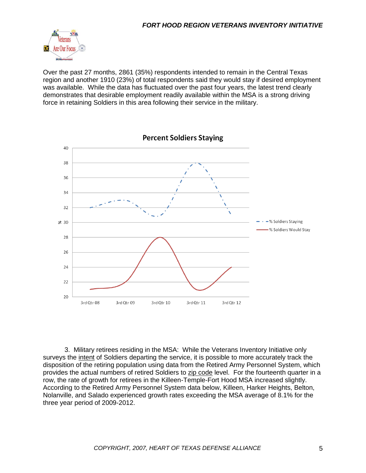

Over the past 27 months, 2861 (35%) respondents intended to remain in the Central Texas region and another 1910 (23%) of total respondents said they would stay if desired employment was available. While the data has fluctuated over the past four years, the latest trend clearly demonstrates that desirable employment readily available within the MSA is a strong driving force in retaining Soldiers in this area following their service in the military.



3. Military retirees residing in the MSA: While the Veterans Inventory Initiative only surveys the intent of Soldiers departing the service, it is possible to more accurately track the disposition of the retiring population using data from the Retired Army Personnel System, which provides the actual numbers of retired Soldiers to zip code level. For the fourteenth quarter in a row, the rate of growth for retirees in the Killeen-Temple-Fort Hood MSA increased slightly. According to the Retired Army Personnel System data below, Killeen, Harker Heights, Belton, Nolanville, and Salado experienced growth rates exceeding the MSA average of 8.1% for the three year period of 2009-2012.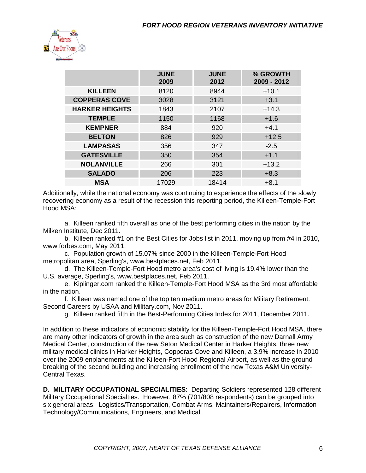

|                       | <b>JUNE</b><br>2009 | <b>JUNE</b><br>2012 | % GROWTH<br>2009 - 2012 |
|-----------------------|---------------------|---------------------|-------------------------|
| <b>KILLEEN</b>        | 8120                | 8944                | $+10.1$                 |
| <b>COPPERAS COVE</b>  | 3028                | 3121                | $+3.1$                  |
| <b>HARKER HEIGHTS</b> | 1843                | 2107                | $+14.3$                 |
| <b>TEMPLE</b>         | 1150                | 1168                | $+1.6$                  |
| <b>KEMPNER</b>        | 884                 | 920                 | $+4.1$                  |
| <b>BELTON</b>         | 826                 | 929                 | $+12.5$                 |
| <b>LAMPASAS</b>       | 356                 | 347                 | $-2.5$                  |
| <b>GATESVILLE</b>     | 350                 | 354                 | $+1.1$                  |
| <b>NOLANVILLE</b>     | 266                 | 301                 | $+13.2$                 |
| <b>SALADO</b>         | 206                 | 223                 | $+8.3$                  |
| <b>MSA</b>            | 17029               | 18414               | $+8.1$                  |

Additionally, while the national economy was continuing to experience the effects of the slowly recovering economy as a result of the recession this reporting period, the Killeen-Temple-Fort Hood MSA:

a. Killeen ranked fifth overall as one of the best performing cities in the nation by the Milken Institute, Dec 2011.

b. Killeen ranked #1 on the Best Cities for Jobs list in 2011, moving up from #4 in 2010, www.forbes.com, May 2011.

c. Population growth of 15.07% since 2000 in the Killeen-Temple-Fort Hood metropolitan area, Sperling's, www.bestplaces.net, Feb 2011.

d. The Killeen-Temple-Fort Hood metro area's cost of living is 19.4% lower than the U.S. average, Sperling's, www.bestplaces.net, Feb 2011.

e. Kiplinger.com ranked the Killeen-Temple-Fort Hood MSA as the 3rd most affordable in the nation.

f. Killeen was named one of the top ten medium metro areas for Military Retirement: Second Careers by USAA and Military.com, Nov 2011.

g. Killeen ranked fifth in the Best-Performing Cities Index for 2011, December 2011.

In addition to these indicators of economic stability for the Killeen-Temple-Fort Hood MSA, there are many other indicators of growth in the area such as construction of the new Darnall Army Medical Center, construction of the new Seton Medical Center in Harker Heights, three new military medical clinics in Harker Heights, Copperas Cove and Killeen, a 3.9% increase in 2010 over the 2009 enplanements at the Killeen-Fort Hood Regional Airport, as well as the ground breaking of the second building and increasing enrollment of the new Texas A&M University-Central Texas.

**D. MILITARY OCCUPATIONAL SPECIALITIES**: Departing Soldiers represented 128 different Military Occupational Specialties. However, 87% (701/808 respondents) can be grouped into six general areas: Logistics/Transportation, Combat Arms, Maintainers/Repairers, Information Technology/Communications, Engineers, and Medical.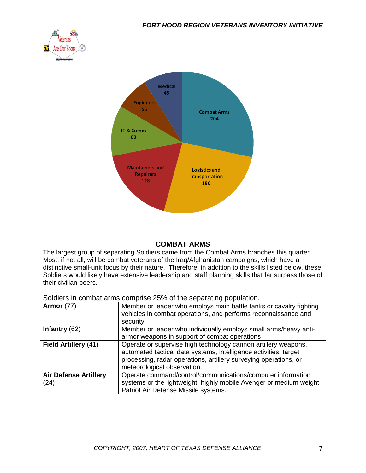



#### **COMBAT ARMS**

The largest group of separating Soldiers came from the Combat Arms branches this quarter. Most, if not all, will be combat veterans of the Iraq/Afghanistan campaigns, which have a distinctive small-unit focus by their nature. Therefore, in addition to the skills listed below, these Soldiers would likely have extensive leadership and staff planning skills that far surpass those of their civilian peers.

Soldiers in combat arms comprise 25% of the separating population.

| <b>Armor</b> (77)                    | Member or leader who employs main battle tanks or cavalry fighting<br>vehicles in combat operations, and performs reconnaissance and<br>security.                                                                                     |
|--------------------------------------|---------------------------------------------------------------------------------------------------------------------------------------------------------------------------------------------------------------------------------------|
| Infantry $(62)$                      | Member or leader who individually employs small arms/heavy anti-                                                                                                                                                                      |
|                                      | armor weapons in support of combat operations                                                                                                                                                                                         |
| Field Artillery (41)                 | Operate or supervise high technology cannon artillery weapons,<br>automated tactical data systems, intelligence activities, target<br>processing, radar operations, artillery surveying operations, or<br>meteorological observation. |
| <b>Air Defense Artillery</b><br>(24) | Operate command/control/communications/computer information<br>systems or the lightweight, highly mobile Avenger or medium weight<br>Patriot Air Defense Missile systems.                                                             |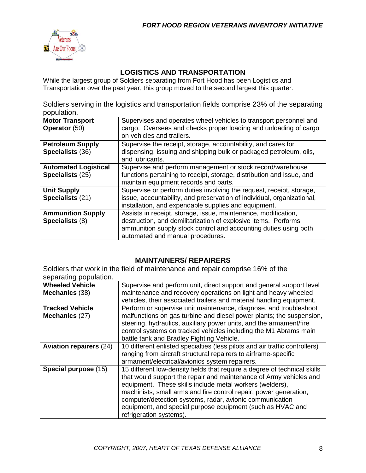

#### **LOGISTICS AND TRANSPORTATION**

While the largest group of Soldiers separating from Fort Hood has been Logistics and Transportation over the past year, this group moved to the second largest this quarter.

Soldiers serving in the logistics and transportation fields comprise 23% of the separating population.

| <b>Motor Transport</b><br>Operator (50)         | Supervises and operates wheel vehicles to transport personnel and<br>cargo. Oversees and checks proper loading and unloading of cargo<br>on vehicles and trailers.                                                                       |
|-------------------------------------------------|------------------------------------------------------------------------------------------------------------------------------------------------------------------------------------------------------------------------------------------|
| <b>Petroleum Supply</b><br>Specialists (36)     | Supervise the receipt, storage, accountability, and cares for<br>dispensing, issuing and shipping bulk or packaged petroleum, oils,                                                                                                      |
|                                                 | and lubricants.                                                                                                                                                                                                                          |
| <b>Automated Logistical</b><br>Specialists (25) | Supervise and perform management or stock record/warehouse<br>functions pertaining to receipt, storage, distribution and issue, and<br>maintain equipment records and parts.                                                             |
| <b>Unit Supply</b><br>Specialists (21)          | Supervise or perform duties involving the request, receipt, storage,<br>issue, accountability, and preservation of individual, organizational,<br>installation, and expendable supplies and equipment.                                   |
| <b>Ammunition Supply</b><br>Specialists (8)     | Assists in receipt, storage, issue, maintenance, modification,<br>destruction, and demilitarization of explosive items. Performs<br>ammunition supply stock control and accounting duties using both<br>automated and manual procedures. |

#### **MAINTAINERS/ REPAIRERS**

Soldiers that work in the field of maintenance and repair comprise 16% of the separating population.

| <b>Wheeled Vehicle</b>         | Supervise and perform unit, direct support and general support level        |
|--------------------------------|-----------------------------------------------------------------------------|
| Mechanics (38)                 | maintenance and recovery operations on light and heavy wheeled              |
|                                | vehicles, their associated trailers and material handling equipment.        |
| <b>Tracked Vehicle</b>         | Perform or supervise unit maintenance, diagnose, and troubleshoot           |
| Mechanics (27)                 | malfunctions on gas turbine and diesel power plants; the suspension,        |
|                                | steering, hydraulics, auxiliary power units, and the armament/fire          |
|                                | control systems on tracked vehicles including the M1 Abrams main            |
|                                | battle tank and Bradley Fighting Vehicle.                                   |
| <b>Aviation repairers (24)</b> | 10 different enlisted specialties (less pilots and air traffic controllers) |
|                                | ranging from aircraft structural repairers to airframe-specific             |
|                                | armament/electrical/avionics system repairers.                              |
| Special purpose (15)           | 15 different low-density fields that require a degree of technical skills   |
|                                | that would support the repair and maintenance of Army vehicles and          |
|                                | equipment. These skills include metal workers (welders),                    |
|                                | machinists, small arms and fire control repair, power generation,           |
|                                | computer/detection systems, radar, avionic communication                    |
|                                | equipment, and special purpose equipment (such as HVAC and                  |
|                                | refrigeration systems).                                                     |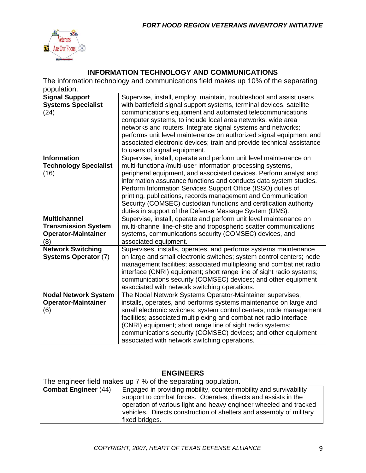

### **INFORMATION TECHNOLOGY AND COMMUNICATIONS**

The information technology and communications field makes up 10% of the separating population.

| <b>Signal Support</b><br><b>Systems Specialist</b><br>(24)                             | Supervise, install, employ, maintain, troubleshoot and assist users<br>with battlefield signal support systems, terminal devices, satellite<br>communications equipment and automated telecommunications<br>computer systems, to include local area networks, wide area<br>networks and routers. Integrate signal systems and networks;<br>performs unit level maintenance on authorized signal equipment and<br>associated electronic devices; train and provide technical assistance<br>to users of signal equipment.                   |
|----------------------------------------------------------------------------------------|-------------------------------------------------------------------------------------------------------------------------------------------------------------------------------------------------------------------------------------------------------------------------------------------------------------------------------------------------------------------------------------------------------------------------------------------------------------------------------------------------------------------------------------------|
| <b>Information</b><br><b>Technology Specialist</b><br>(16)                             | Supervise, install, operate and perform unit level maintenance on<br>multi-functional/multi-user information processing systems,<br>peripheral equipment, and associated devices. Perform analyst and<br>information assurance functions and conducts data system studies.<br>Perform Information Services Support Office (ISSO) duties of<br>printing, publications, records management and Communication<br>Security (COMSEC) custodian functions and certification authority<br>duties in support of the Defense Message System (DMS). |
| <b>Multichannel</b><br><b>Transmission System</b><br><b>Operator-Maintainer</b><br>(8) | Supervise, install, operate and perform unit level maintenance on<br>multi-channel line-of-site and tropospheric scatter communications<br>systems, communications security (COMSEC) devices, and<br>associated equipment.                                                                                                                                                                                                                                                                                                                |
| <b>Network Switching</b><br><b>Systems Operator (7)</b>                                | Supervises, installs, operates, and performs systems maintenance<br>on large and small electronic switches; system control centers; node<br>management facilities; associated multiplexing and combat net radio<br>interface (CNRI) equipment; short range line of sight radio systems;<br>communications security (COMSEC) devices; and other equipment<br>associated with network switching operations.                                                                                                                                 |
| <b>Nodal Network System</b><br><b>Operator-Maintainer</b><br>(6)                       | The Nodal Network Systems Operator-Maintainer supervises,<br>installs, operates, and performs systems maintenance on large and<br>small electronic switches; system control centers; node management<br>facilities; associated multiplexing and combat net radio interface<br>(CNRI) equipment; short range line of sight radio systems;<br>communications security (COMSEC) devices; and other equipment<br>associated with network switching operations.                                                                                |

#### **ENGINEERS**

The engineer field makes up 7 % of the separating population.

| <b>Combat Engineer (44)</b> | Engaged in providing mobility, counter-mobility and survivability                                                                                          |
|-----------------------------|------------------------------------------------------------------------------------------------------------------------------------------------------------|
|                             | support to combat forces. Operates, directs and assists in the                                                                                             |
|                             | operation of various light and heavy engineer wheeled and tracked<br>vehicles. Directs construction of shelters and assembly of military<br>fixed bridges. |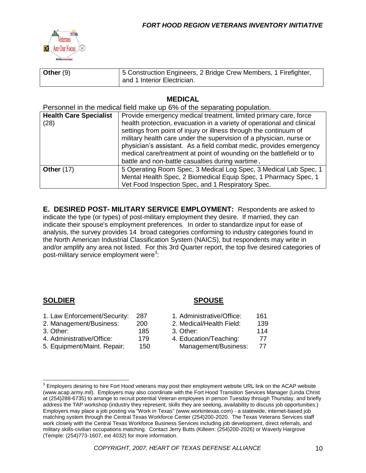

| Other $(9)$ | 5 Construction Engineers, 2 Bridge Crew Members, 1 Firefighter, |
|-------------|-----------------------------------------------------------------|
|             | and 1 Interior Electrician.                                     |

#### **MEDICAL**

Personnel in the medical field make up 6% of the separating population.

| <b>Health Care Specialist</b><br>(28) | Provide emergency medical treatment, limited primary care, force<br>health protection, evacuation in a variety of operational and clinical<br>settings from point of injury or illness through the continuum of<br>military health care under the supervision of a physician, nurse or<br>physician's assistant. As a field combat medic, provides emergency<br>medical care/treatment at point of wounding on the battlefield or to<br>battle and non-battle casualties during wartime. |
|---------------------------------------|------------------------------------------------------------------------------------------------------------------------------------------------------------------------------------------------------------------------------------------------------------------------------------------------------------------------------------------------------------------------------------------------------------------------------------------------------------------------------------------|
| <b>Other (17)</b>                     | 5 Operating Room Spec, 3 Medical Log Spec, 3 Medical Lab Spec, 1<br>Mental Health Spec, 2 Biomedical Equip Spec, 1 Pharmacy Spec, 1<br>Vet Food Inspection Spec, and 1 Respiratory Spec.                                                                                                                                                                                                                                                                                                 |

**E. DESIRED POST- MILITARY SERVICE EMPLOYMENT:** Respondents are asked to indicate the type (or types) of post-military employment they desire. If married, they can indicate their spouse's employment preferences. In order to standardize input for ease of analysis, the survey provides 14 broad categories conforming to industry categories found in the North American Industrial Classification System (NAICS), but respondents may write in and/or amplify any area not listed. For this 3rd Quarter report, the top five desired categories of post-military service employment were<sup>3</sup>:

#### **SOLDIER SPOUSE**

 $\overline{a}$ 

| 1. Law Enforcement/Security: | 287 | 1. Administrative/Office: | 161 |
|------------------------------|-----|---------------------------|-----|
| 2. Management/Business:      | 200 | 2. Medical/Health Field:  | 139 |
| 3. Other: .                  | 185 | 3. Other:                 | 114 |
| 4. Administrative/Office:    | 179 | 4. Education/Teaching:    | 77  |
| 5. Equipment/Maint. Repair:  | 150 | Management/Business:      | 77  |
|                              |     |                           |     |

 $3$  Employers desiring to hire Fort Hood veterans may post their employment website URL link on the ACAP website (www.acap.army.mil). Employers may also coordinate with the Fort Hood Transition Services Manager (Linda Christ at (254)288-6735) to arrange to recruit potential Veteran employees in person Tuesday through Thursday, and briefly address the TAP workshop (industry they represent, skills they are seeking, availability to discuss job opportunities.) Employers may place a job posting via "Work in Texas" (www.workintexas.com) - a statewide, internet-based job matching system through the Central Texas Workforce Center (254)200-2020. The Texas Veterans Services staff work closely with the Central Texas Workforce Business Services including job development, direct referrals, and military skills-civilian occupations matching. Contact Jerry Butts (Killeen: (254)200-2026) or Waverly Hargrove (Temple: (254)773-1607, ext 4032) for more information.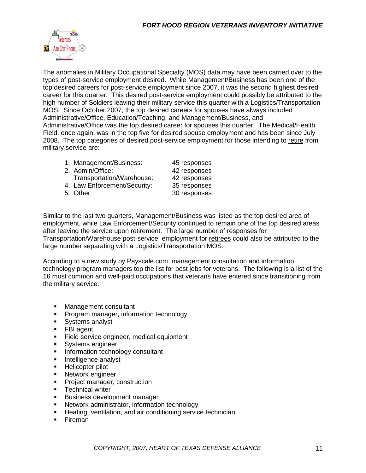

The anomalies in Military Occupational Specialty (MOS) data may have been carried over to the types of post-service employment desired. While Management/Business has been one of the top desired careers for post-service employment since 2007, it was the second highest desired career for this quarter. This desired post-service employment could possibly be attributed to the high number of Soldiers leaving their military service this quarter with a Logistics/Transportation MOS. Since October 2007, the top desired careers for spouses have always included Administrative/Office, Education/Teaching, and Management/Business, and Administrative/Office was the top desired career for spouses this quarter. The Medical/Health Field, once again, was in the top five for desired spouse employment and has been since July 2008. The top categories of desired post-service employment for those intending to retire from military service are:

| 1. Management/Business:      | 45 responses |
|------------------------------|--------------|
| 2. Admin/Office:             | 42 responses |
| Transportation/Warehouse:    | 42 responses |
| 4. Law Enforcement/Security: | 35 responses |
| 5. Other:                    | 30 responses |

Similar to the last two quarters, Management/Business was listed as the top desired area of employment, while Law Enforcement/Security continued to remain one of the top desired areas after leaving the service upon retirement. The large number of responses for Transportation/Warehouse post-service employment for retirees could also be attributed to the large number separating with a Logistics/Transportation MOS.

According to a new study by Payscale.com, management consultation and information technology program managers top the list for best jobs for veterans. The following is a list of the 16 most common and well-paid occupations that veterans have entered since transitioning from the military service.

- **Management consultant**
- **Program manager, information technology**
- **Systems analyst**
- **FBI** agent
- **Field service engineer, medical equipment**
- **Systems engineer**
- **Information technology consultant**
- **Intelligence analyst**
- **Helicopter pilot**
- **Network engineer**
- **Project manager, construction**
- **Technical writer**
- **Business development manager**
- Network administrator, information technology
- **Heating, ventilation, and air conditioning service technician**
- **Fireman**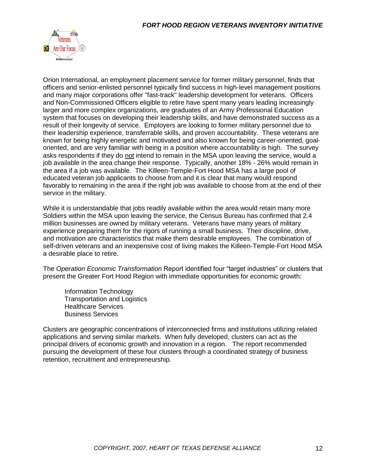

Orion International, an employment placement service for former military personnel, finds that officers and senior-enlisted personnel typically find success in high-level management positions and many major corporations offer "fast-track" leadership development for veterans. Officers and Non-Commissioned Officers eligible to retire have spent many years leading increasingly larger and more complex organizations, are graduates of an Army Professional Education system that focuses on developing their leadership skills, and have demonstrated success as a result of their longevity of service. Employers are looking to former military personnel due to their leadership experience, transferrable skills, and proven accountability. These veterans are known for being highly energetic and motivated and also known for being career-oriented, goaloriented, and are very familiar with being in a position where accountability is high. The survey asks respondents if they do not intend to remain in the MSA upon leaving the service, would a job available in the area change their response. Typically, another 18% - 26% would remain in the area if a job was available. The Killeen-Temple-Fort Hood MSA has a large pool of educated veteran job applicants to choose from and it is clear that many would respond favorably to remaining in the area if the right job was available to choose from at the end of their service in the military.

While it is understandable that jobs readily available within the area would retain many more Soldiers within the MSA upon leaving the service, the Census Bureau has confirmed that 2.4 million businesses are owned by military veterans. Veterans have many years of military experience preparing them for the rigors of running a small business. Their discipline, drive, and motivation are characteristics that make them desirable employees. The combination of self-driven veterans and an inexpensive cost of living makes the Killeen-Temple-Fort Hood MSA a desirable place to retire.

The *Operation Economic Transformation* Report identified four "target industries" or clusters that present the Greater Fort Hood Region with immediate opportunities for economic growth:

Information Technology Transportation and Logistics Healthcare Services Business Services

Clusters are geographic concentrations of interconnected firms and institutions utilizing related applications and serving similar markets. When fully developed, clusters can act as the principal drivers of economic growth and innovation in a region. The report recommended pursuing the development of these four clusters through a coordinated strategy of business retention, recruitment and entrepreneurship.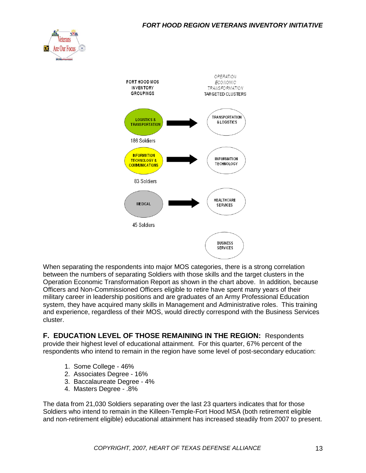



When separating the respondents into major MOS categories, there is a strong correlation between the numbers of separating Soldiers with those skills and the target clusters in the Operation Economic Transformation Report as shown in the chart above. In addition, because Officers and Non-Commissioned Officers eligible to retire have spent many years of their military career in leadership positions and are graduates of an Army Professional Education system, they have acquired many skills in Management and Administrative roles. This training and experience, regardless of their MOS, would directly correspond with the Business Services cluster.

**F. EDUCATION LEVEL OF THOSE REMAINING IN THE REGION:** Respondents provide their highest level of educational attainment. For this quarter, 67% percent of the respondents who intend to remain in the region have some level of post-secondary education:

- 1. Some College 46%
- 2. Associates Degree 16%
- 3. Baccalaureate Degree 4%
- 4. Masters Degree .8%

The data from 21,030 Soldiers separating over the last 23 quarters indicates that for those Soldiers who intend to remain in the Killeen-Temple-Fort Hood MSA (both retirement eligible and non-retirement eligible) educational attainment has increased steadily from 2007 to present.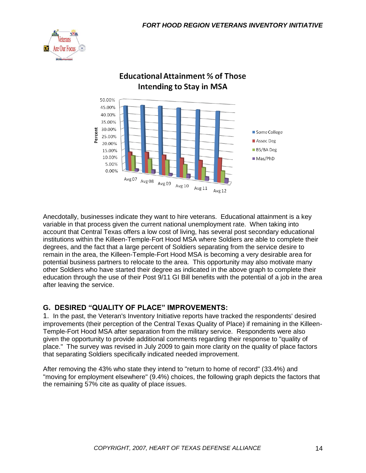



## **Educational Attainment % of Those Intending to Stay in MSA**

Anecdotally, businesses indicate they want to hire veterans. Educational attainment is a key variable in that process given the current national unemployment rate. When taking into account that Central Texas offers a low cost of living, has several post secondary educational institutions within the Killeen-Temple-Fort Hood MSA where Soldiers are able to complete their degrees, and the fact that a large percent of Soldiers separating from the service desire to remain in the area, the Killeen-Temple-Fort Hood MSA is becoming a very desirable area for potential business partners to relocate to the area. This opportunity may also motivate many other Soldiers who have started their degree as indicated in the above graph to complete their education through the use of their Post 9/11 GI Bill benefits with the potential of a job in the area after leaving the service.

#### **G. DESIRED "QUALITY OF PLACE" IMPROVEMENTS:**

1. In the past, the Veteran's Inventory Initiative reports have tracked the respondents' desired improvements (their perception of the Central Texas Quality of Place) if remaining in the Killeen-Temple-Fort Hood MSA after separation from the military service. Respondents were also given the opportunity to provide additional comments regarding their response to "quality of place." The survey was revised in July 2009 to gain more clarity on the quality of place factors that separating Soldiers specifically indicated needed improvement.

After removing the 43% who state they intend to "return to home of record" (33.4%) and "moving for employment elsewhere" (9.4%) choices, the following graph depicts the factors that the remaining 57% cite as quality of place issues.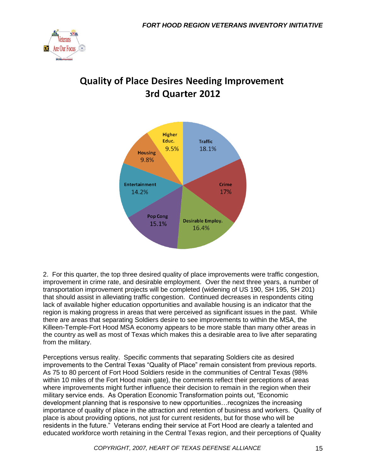

# **Quality of Place Desires Needing Improvement** 3rd Quarter 2012



2. For this quarter, the top three desired quality of place improvements were traffic congestion, improvement in crime rate, and desirable employment. Over the next three years, a number of transportation improvement projects will be completed (widening of US 190, SH 195, SH 201) that should assist in alleviating traffic congestion. Continued decreases in respondents citing lack of available higher education opportunities and available housing is an indicator that the region is making progress in areas that were perceived as significant issues in the past. While there are areas that separating Soldiers desire to see improvements to within the MSA, the Killeen-Temple-Fort Hood MSA economy appears to be more stable than many other areas in the country as well as most of Texas which makes this a desirable area to live after separating from the military.

Perceptions versus reality. Specific comments that separating Soldiers cite as desired improvements to the Central Texas "Quality of Place" remain consistent from previous reports. As 75 to 80 percent of Fort Hood Soldiers reside in the communities of Central Texas (98% within 10 miles of the Fort Hood main gate), the comments reflect their perceptions of areas where improvements might further influence their decision to remain in the region when their military service ends. As Operation Economic Transformation points out, "Economic development planning that is responsive to new opportunities…recognizes the increasing importance of quality of place in the attraction and retention of business and workers. Quality of place is about providing options, not just for current residents, but for those who will be residents in the future." Veterans ending their service at Fort Hood are clearly a talented and educated workforce worth retaining in the Central Texas region, and their perceptions of Quality